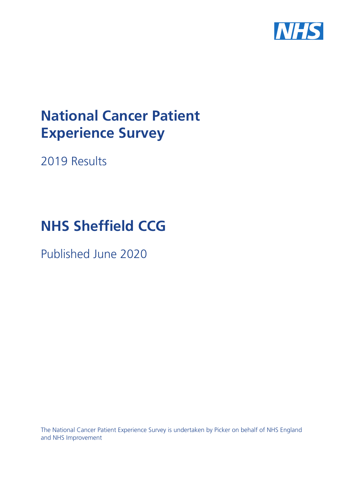

# **National Cancer Patient Experience Survey**

2019 Results

# **NHS** Sheffield CCG

Published June 2020

The National Cancer Patient Experience Survey is undertaken by Picker on behalf of NHS England and NHS Improvement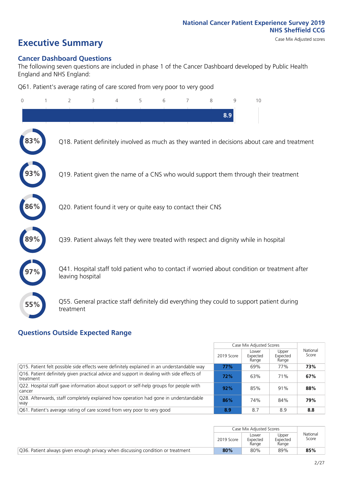# **Executive Summary** Case Mix Adjusted scores

#### **Cancer Dashboard Questions**

The following seven questions are included in phase 1 of the Cancer Dashboard developed by Public Health England and NHS England:

Q61. Patient's average rating of care scored from very poor to very good

| $\Omega$ | $\overline{2}$                                                | 3 | 4 | 5 | 6 | 7 | 8 | 9   | 10                                                                                            |  |
|----------|---------------------------------------------------------------|---|---|---|---|---|---|-----|-----------------------------------------------------------------------------------------------|--|
|          |                                                               |   |   |   |   |   |   | 8.9 |                                                                                               |  |
|          |                                                               |   |   |   |   |   |   |     | Q18. Patient definitely involved as much as they wanted in decisions about care and treatment |  |
|          |                                                               |   |   |   |   |   |   |     | Q19. Patient given the name of a CNS who would support them through their treatment           |  |
| 86%      | Q20. Patient found it very or quite easy to contact their CNS |   |   |   |   |   |   |     |                                                                                               |  |
|          |                                                               |   |   |   |   |   |   |     | Q39. Patient always felt they were treated with respect and dignity while in hospital         |  |
|          | leaving hospital                                              |   |   |   |   |   |   |     | Q41. Hospital staff told patient who to contact if worried about condition or treatment after |  |
| 55%      | treatment                                                     |   |   |   |   |   |   |     | Q55. General practice staff definitely did everything they could to support patient during    |  |

### **Questions Outside Expected Range**

|                                                                                                         |            | Case Mix Adjusted Scores   |                            |                   |
|---------------------------------------------------------------------------------------------------------|------------|----------------------------|----------------------------|-------------------|
|                                                                                                         | 2019 Score | Lower<br>Expected<br>Range | Upper<br>Expected<br>Range | National<br>Score |
| Q15. Patient felt possible side effects were definitely explained in an understandable way              | 77%        | 69%                        | 77%                        | 73%               |
| Q16. Patient definitely given practical advice and support in dealing with side effects of<br>treatment | 72%        | 63%                        | 71%                        | 67%               |
| Q22. Hospital staff gave information about support or self-help groups for people with<br>cancer        | 92%        | 85%                        | 91%                        | 88%               |
| Q28. Afterwards, staff completely explained how operation had gone in understandable<br>way             | 86%        | 74%                        | 84%                        | 79%               |
| Q61. Patient's average rating of care scored from very poor to very good                                | 8.9        | 8.7                        | 8.9                        | 8.8               |

|                                                                                 |            | Case Mix Adiusted Scores   |                            |                   |
|---------------------------------------------------------------------------------|------------|----------------------------|----------------------------|-------------------|
|                                                                                 | 2019 Score | Lower<br>Expected<br>Range | Upper<br>Expected<br>Range | National<br>Score |
| Q36. Patient always given enough privacy when discussing condition or treatment | 80%        | 80%                        | 89%                        | 85%               |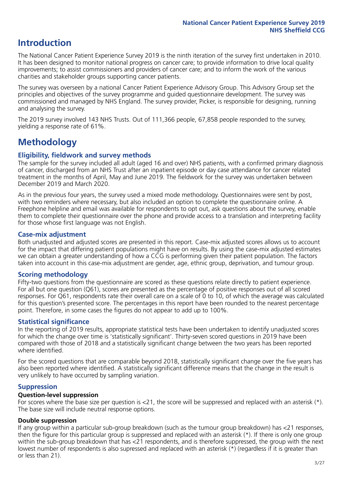# **Introduction**

The National Cancer Patient Experience Survey 2019 is the ninth iteration of the survey first undertaken in 2010. It has been designed to monitor national progress on cancer care; to provide information to drive local quality improvements; to assist commissioners and providers of cancer care; and to inform the work of the various charities and stakeholder groups supporting cancer patients.

The survey was overseen by a national Cancer Patient Experience Advisory Group. This Advisory Group set the principles and objectives of the survey programme and guided questionnaire development. The survey was commissioned and managed by NHS England. The survey provider, Picker, is responsible for designing, running and analysing the survey.

The 2019 survey involved 143 NHS Trusts. Out of 111,366 people, 67,858 people responded to the survey, yielding a response rate of 61%.

# **Methodology**

#### **Eligibility, fieldwork and survey methods**

The sample for the survey included all adult (aged 16 and over) NHS patients, with a confirmed primary diagnosis of cancer, discharged from an NHS Trust after an inpatient episode or day case attendance for cancer related treatment in the months of April, May and June 2019. The fieldwork for the survey was undertaken between December 2019 and March 2020.

As in the previous four years, the survey used a mixed mode methodology. Questionnaires were sent by post, with two reminders where necessary, but also included an option to complete the questionnaire online. A Freephone helpline and email was available for respondents to opt out, ask questions about the survey, enable them to complete their questionnaire over the phone and provide access to a translation and interpreting facility for those whose first language was not English.

#### **Case-mix adjustment**

Both unadjusted and adjusted scores are presented in this report. Case-mix adjusted scores allows us to account for the impact that differing patient populations might have on results. By using the case-mix adjusted estimates we can obtain a greater understanding of how a CCG is performing given their patient population. The factors taken into account in this case-mix adjustment are gender, age, ethnic group, deprivation, and tumour group.

#### **Scoring methodology**

Fifty-two questions from the questionnaire are scored as these questions relate directly to patient experience. For all but one question (Q61), scores are presented as the percentage of positive responses out of all scored responses. For Q61, respondents rate their overall care on a scale of 0 to 10, of which the average was calculated for this question's presented score. The percentages in this report have been rounded to the nearest percentage point. Therefore, in some cases the figures do not appear to add up to 100%.

#### **Statistical significance**

In the reporting of 2019 results, appropriate statistical tests have been undertaken to identify unadjusted scores for which the change over time is 'statistically significant'. Thirty-seven scored questions in 2019 have been compared with those of 2018 and a statistically significant change between the two years has been reported where identified.

For the scored questions that are comparable beyond 2018, statistically significant change over the five years has also been reported where identified. A statistically significant difference means that the change in the result is very unlikely to have occurred by sampling variation.

#### **Suppression**

#### **Question-level suppression**

For scores where the base size per question is  $<$ 21, the score will be suppressed and replaced with an asterisk (\*). The base size will include neutral response options.

#### **Double suppression**

If any group within a particular sub-group breakdown (such as the tumour group breakdown) has <21 responses, then the figure for this particular group is suppressed and replaced with an asterisk (\*). If there is only one group within the sub-group breakdown that has <21 respondents, and is therefore suppressed, the group with the next lowest number of respondents is also supressed and replaced with an asterisk (\*) (regardless if it is greater than or less than 21).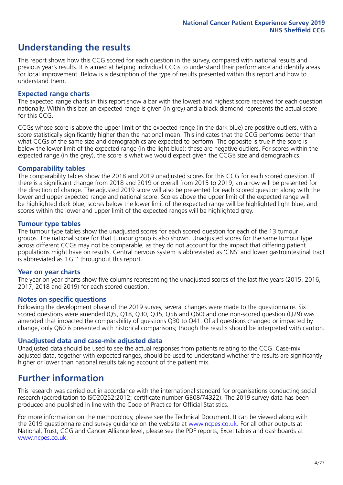# **Understanding the results**

This report shows how this CCG scored for each question in the survey, compared with national results and previous year's results. It is aimed at helping individual CCGs to understand their performance and identify areas for local improvement. Below is a description of the type of results presented within this report and how to understand them.

#### **Expected range charts**

The expected range charts in this report show a bar with the lowest and highest score received for each question nationally. Within this bar, an expected range is given (in grey) and a black diamond represents the actual score for this CCG.

CCGs whose score is above the upper limit of the expected range (in the dark blue) are positive outliers, with a score statistically significantly higher than the national mean. This indicates that the CCG performs better than what CCGs of the same size and demographics are expected to perform. The opposite is true if the score is below the lower limit of the expected range (in the light blue); these are negative outliers. For scores within the expected range (in the grey), the score is what we would expect given the CCG's size and demographics.

#### **Comparability tables**

The comparability tables show the 2018 and 2019 unadjusted scores for this CCG for each scored question. If there is a significant change from 2018 and 2019 or overall from 2015 to 2019, an arrow will be presented for the direction of change. The adjusted 2019 score will also be presented for each scored question along with the lower and upper expected range and national score. Scores above the upper limit of the expected range will be highlighted dark blue, scores below the lower limit of the expected range will be highlighted light blue, and scores within the lower and upper limit of the expected ranges will be highlighted grey.

#### **Tumour type tables**

The tumour type tables show the unadjusted scores for each scored question for each of the 13 tumour groups. The national score for that tumour group is also shown. Unadjusted scores for the same tumour type across different CCGs may not be comparable, as they do not account for the impact that differing patient populations might have on results. Central nervous system is abbreviated as 'CNS' and lower gastrointestinal tract is abbreviated as 'LGT' throughout this report.

#### **Year on year charts**

The year on year charts show five columns representing the unadjusted scores of the last five years (2015, 2016, 2017, 2018 and 2019) for each scored question.

#### **Notes on specific questions**

Following the development phase of the 2019 survey, several changes were made to the questionnaire. Six scored questions were amended (Q5, Q18, Q30, Q35, Q56 and Q60) and one non-scored question (Q29) was amended that impacted the comparability of questions Q30 to Q41. Of all questions changed or impacted by change, only Q60 is presented with historical comparisons; though the results should be interpreted with caution.

#### **Unadjusted data and case-mix adjusted data**

Unadjusted data should be used to see the actual responses from patients relating to the CCG. Case-mix adjusted data, together with expected ranges, should be used to understand whether the results are significantly higher or lower than national results taking account of the patient mix.

### **Further information**

This research was carried out in accordance with the international standard for organisations conducting social research (accreditation to ISO20252:2012; certificate number GB08/74322). The 2019 survey data has been produced and published in line with the Code of Practice for Official Statistics.

For more information on the methodology, please see the Technical Document. It can be viewed along with the 2019 questionnaire and survey quidance on the website at [www.ncpes.co.uk](https://www.ncpes.co.uk/supporting-documents). For all other outputs at National, Trust, CCG and Cancer Alliance level, please see the PDF reports, Excel tables and dashboards at [www.ncpes.co.uk.](https://www.ncpes.co.uk/current-results)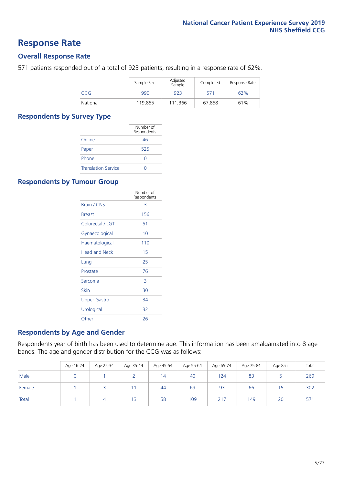### **Response Rate**

#### **Overall Response Rate**

571 patients responded out of a total of 923 patients, resulting in a response rate of 62%.

|          | Sample Size | Adjusted<br>Sample | Completed | Response Rate |
|----------|-------------|--------------------|-----------|---------------|
| CCG      | 990         | 923                | 571       | 62%           |
| National | 119,855     | 111.366            | 67,858    | 61%           |

#### **Respondents by Survey Type**

|                            | Number of<br>Respondents |
|----------------------------|--------------------------|
| Online                     | 46                       |
| Paper                      | 525                      |
| Phone                      |                          |
| <b>Translation Service</b> |                          |

#### **Respondents by Tumour Group**

|                      | Number of<br>Respondents |
|----------------------|--------------------------|
| <b>Brain / CNS</b>   | 3                        |
| <b>Breast</b>        | 156                      |
| Colorectal / LGT     | 51                       |
| Gynaecological       | 10                       |
| Haematological       | 110                      |
| <b>Head and Neck</b> | 15                       |
| Lung                 | 25                       |
| Prostate             | 76                       |
| Sarcoma              | 3                        |
| Skin                 | 30                       |
| Upper Gastro         | 34                       |
| Urological           | 32                       |
| Other                | 26                       |

#### **Respondents by Age and Gender**

Respondents year of birth has been used to determine age. This information has been amalgamated into 8 age bands. The age and gender distribution for the CCG was as follows:

|        | Age 16-24 | Age 25-34 | Age 35-44 | Age 45-54 | Age 55-64 | Age 65-74 | Age 75-84 | Age 85+ | Total |
|--------|-----------|-----------|-----------|-----------|-----------|-----------|-----------|---------|-------|
| Male   |           |           |           | 14        | 40        | 124       | 83        |         | 269   |
| Female |           |           |           | 44        | 69        | 93        | 66        | 15      | 302   |
| Total  |           |           | 13        | 58        | 109       | 217       | 149       | 20      | 57    |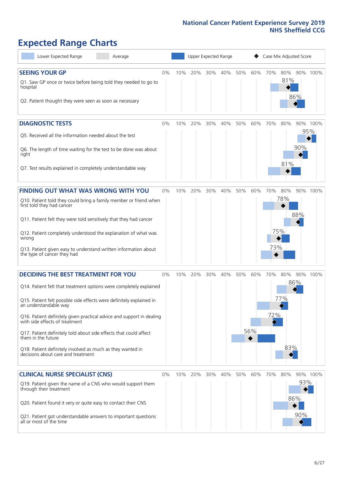# **Expected Range Charts**

| Lower Expected Range<br>Average                                                                                                                                                                                                                                                                                                                                                                                                                                                                                             | Upper Expected Range<br>Case Mix Adjusted Score |     |         |     |     |     |            |            |                   |                   |                 |
|-----------------------------------------------------------------------------------------------------------------------------------------------------------------------------------------------------------------------------------------------------------------------------------------------------------------------------------------------------------------------------------------------------------------------------------------------------------------------------------------------------------------------------|-------------------------------------------------|-----|---------|-----|-----|-----|------------|------------|-------------------|-------------------|-----------------|
| <b>SEEING YOUR GP</b><br>Q1. Saw GP once or twice before being told they needed to go to<br>hospital<br>Q2. Patient thought they were seen as soon as necessary                                                                                                                                                                                                                                                                                                                                                             | $0\%$                                           | 10% | 20%     | 30% | 40% | 50% | 60%        | 70%        | 80%<br>81%        | 86%               | 90% 100%        |
| <b>DIAGNOSTIC TESTS</b><br>Q5. Received all the information needed about the test<br>Q6. The length of time waiting for the test to be done was about<br>right<br>Q7. Test results explained in completely understandable way                                                                                                                                                                                                                                                                                               | $0\%$                                           | 10% | 20%     | 30% | 40% | 50% | 60%        | 70%        | 80%<br>81%        | 90%               | 90% 100%<br>95% |
| <b>FINDING OUT WHAT WAS WRONG WITH YOU</b><br>Q10. Patient told they could bring a family member or friend when<br>first told they had cancer<br>Q11. Patient felt they were told sensitively that they had cancer<br>Q12. Patient completely understood the explanation of what was<br>wrong<br>Q13. Patient given easy to understand written information about<br>the type of cancer they had                                                                                                                             | $0\%$                                           | 10% | 20%     | 30% | 40% | 50% | 60%        | 70%<br>73% | 80%<br>78%<br>75% | 88%               | 90% 100%        |
| <b>DECIDING THE BEST TREATMENT FOR YOU</b><br>Q14. Patient felt that treatment options were completely explained<br>Q15. Patient felt possible side effects were definitely explained in<br>an understandable way<br>Q16. Patient definitely given practical advice and support in dealing<br>with side effects of treatment<br>Q17. Patient definitely told about side effects that could affect<br>them in the future<br>Q18. Patient definitely involved as much as they wanted in<br>decisions about care and treatment | $0\%$                                           | 10% | 20%     | 30% | 40% | 50% | 60%<br>56% | 70%<br>72% | 80%<br>77%<br>83% | 86%               | 90% 100%        |
| <b>CLINICAL NURSE SPECIALIST (CNS)</b><br>Q19. Patient given the name of a CNS who would support them<br>through their treatment<br>Q20. Patient found it very or quite easy to contact their CNS<br>Q21. Patient got understandable answers to important questions<br>all or most of the time                                                                                                                                                                                                                              | $0\%$                                           |     | 10% 20% | 30% | 40% | 50% | 60%        | 70%        | 80%               | 93%<br>86%<br>90% | 90% 100%        |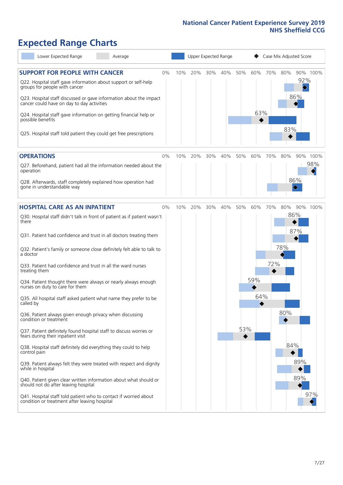# **Expected Range Charts**

| Lower Expected Range<br>Average                                                                                   |     |     | Upper Expected Range |     |     |     |     | Case Mix Adjusted Score |                 |     |
|-------------------------------------------------------------------------------------------------------------------|-----|-----|----------------------|-----|-----|-----|-----|-------------------------|-----------------|-----|
| <b>SUPPORT FOR PEOPLE WITH CANCER</b><br>$0\%$<br>Q22. Hospital staff gave information about support or self-help | 10% | 20% | 30%                  | 40% | 50% | 60% | 70% | 80%                     | 90% 100%<br>92% |     |
| groups for people with cancer<br>Q23. Hospital staff discussed or gave information about the impact               |     |     |                      |     |     |     |     |                         | 86%             |     |
| cancer could have on day to day activities<br>Q24. Hospital staff gave information on getting financial help or   |     |     |                      |     |     | 63% |     |                         |                 |     |
| possible benefits<br>Q25. Hospital staff told patient they could get free prescriptions                           |     |     |                      |     |     |     |     | 83%                     |                 |     |
|                                                                                                                   |     |     |                      |     |     |     |     |                         |                 |     |
| <b>OPERATIONS</b><br>$0\%$                                                                                        | 10% | 20% | 30%                  | 40% | 50% | 60% | 70% | 80%                     | 90% 100%        | 98% |
| Q27. Beforehand, patient had all the information needed about the<br>operation                                    |     |     |                      |     |     |     |     |                         |                 |     |
| Q28. Afterwards, staff completely explained how operation had<br>gone in understandable way                       |     |     |                      |     |     |     |     |                         | 86%             |     |
| <b>HOSPITAL CARE AS AN INPATIENT</b><br>$0\%$                                                                     | 10% | 20% | 30%                  | 40% | 50% | 60% | 70% | 80%                     | 90% 100%        |     |
| Q30. Hospital staff didn't talk in front of patient as if patient wasn't<br>there                                 |     |     |                      |     |     |     |     | 86%                     |                 |     |
| Q31. Patient had confidence and trust in all doctors treating them                                                |     |     |                      |     |     |     |     |                         | 87%             |     |
| Q32. Patient's family or someone close definitely felt able to talk to<br>a doctor                                |     |     |                      |     |     |     |     | 78%                     |                 |     |
| Q33. Patient had confidence and trust in all the ward nurses<br>treating them                                     |     |     |                      |     |     |     | 72% |                         |                 |     |
| Q34. Patient thought there were always or nearly always enough<br>nurses on duty to care for them                 |     |     |                      |     |     | 59% |     |                         |                 |     |
| Q35. All hospital staff asked patient what name they prefer to be<br>called by                                    |     |     |                      |     |     | 64% |     |                         |                 |     |
| Q36. Patient always given enough privacy when discussing<br>condition or treatment                                |     |     |                      |     |     |     |     | 80%                     |                 |     |
| Q37. Patient definitely found hospital staff to discuss worries or<br>fears during their inpatient visit          |     |     |                      |     | 53% |     |     |                         |                 |     |
| Q38. Hospital staff definitely did everything they could to help<br>control pain                                  |     |     |                      |     |     |     |     | 84%                     |                 |     |
| Q39. Patient always felt they were treated with respect and dignity<br>while in hospital                          |     |     |                      |     |     |     |     |                         | 89%             |     |
| Q40. Patient given clear written information about what should or<br>should not do after leaving hospital         |     |     |                      |     |     |     |     |                         | 89%             |     |
| Q41. Hospital staff told patient who to contact if worried about<br>condition or treatment after leaving hospital |     |     |                      |     |     |     |     |                         |                 | 97% |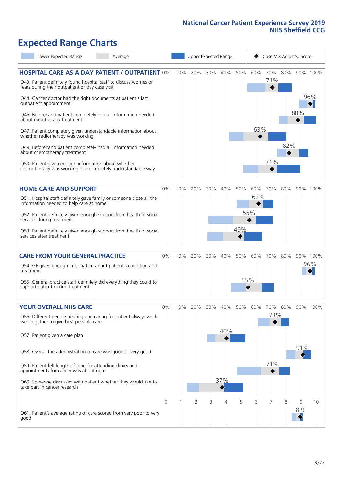# **Expected Range Charts**

| Lower Expected Range<br>Average                                                                                                                                                                                                                                                                                                                                                                                                                                                                                                                                                                                                                                                                        |       |     |     |     | Upper Expected Range |            |                   | Case Mix Adjusted Score |                |          |                 |
|--------------------------------------------------------------------------------------------------------------------------------------------------------------------------------------------------------------------------------------------------------------------------------------------------------------------------------------------------------------------------------------------------------------------------------------------------------------------------------------------------------------------------------------------------------------------------------------------------------------------------------------------------------------------------------------------------------|-------|-----|-----|-----|----------------------|------------|-------------------|-------------------------|----------------|----------|-----------------|
| <b>HOSPITAL CARE AS A DAY PATIENT / OUTPATIENT 0%</b><br>Q43. Patient definitely found hospital staff to discuss worries or<br>fears during their outpatient or day case visit<br>Q44. Cancer doctor had the right documents at patient's last<br>outpatient appointment<br>Q46. Beforehand patient completely had all information needed<br>about radiotherapy treatment<br>Q47. Patient completely given understandable information about<br>whether radiotherapy was working<br>Q49. Beforehand patient completely had all information needed<br>about chemotherapy treatment<br>Q50. Patient given enough information about whether<br>chemotherapy was working in a completely understandable way |       | 10% | 20% | 30% | 40%                  | 50%        | 60%<br>63%        | 71%<br>71%              | 70% 80%<br>82% | 88%      | 90% 100%<br>96% |
| <b>HOME CARE AND SUPPORT</b><br>Q51. Hospital staff definitely gave family or someone close all the<br>information needed to help care at home<br>Q52. Patient definitely given enough support from health or social<br>services during treatment<br>Q53. Patient definitely given enough support from health or social<br>services after treatment                                                                                                                                                                                                                                                                                                                                                    | 0%    | 10% | 20% | 30% | 40%                  | 50%<br>49% | 60%<br>62%<br>55% | 70%                     | 80%            |          | 90% 100%        |
| <b>CARE FROM YOUR GENERAL PRACTICE</b><br>Q54. GP given enough information about patient's condition and<br>treatment<br>Q55. General practice staff definitely did everything they could to<br>support patient during treatment                                                                                                                                                                                                                                                                                                                                                                                                                                                                       | $0\%$ | 10% | 20% | 30% | 40%                  | 50%        | 60%<br>55%        | 70%                     | 80%            |          | 90% 100%<br>96% |
| <b>YOUR OVERALL NHS CARE</b><br>Q56. Different people treating and caring for patient always work<br>well together to give best possible care<br>Q57. Patient given a care plan<br>Q58. Overall the administration of care was good or very good<br>Q59. Patient felt length of time for attending clinics and<br>appointments for cancer was about right<br>Q60. Someone discussed with patient whether they would like to<br>take part in cancer research                                                                                                                                                                                                                                            | $0\%$ | 10% | 20% | 30% | 40%<br>40%<br>37%    | 50%        | 60%               | 70%<br>73%  <br>71%     | 80%            | 91%      | 90% 100%        |
| Q61. Patient's average rating of care scored from very poor to very<br>good                                                                                                                                                                                                                                                                                                                                                                                                                                                                                                                                                                                                                            | 0     |     | 2   | 3   | 4                    | 5          | 6                 | 7                       | 8              | 9<br>8.9 | 10              |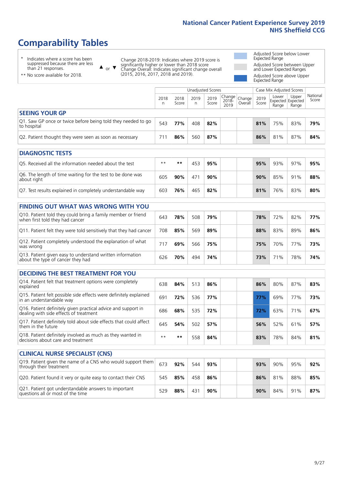# **Comparability Tables**

\* Indicates where a score has been suppressed because there are less than 21 responses.

\*\* No score available for 2018.

 $\triangle$  or  $\nabla$ 

Change 2018-2019: Indicates where 2019 score is significantly higher or lower than 2018 score Change Overall: Indicates significant change overall (2015, 2016, 2017, 2018 and 2019).

Adjusted Score below Lower Expected Range Adjusted Score between Upper and Lower Expected Ranges Adjusted Score above Upper

Expected Range

|                                                                             | Unadjusted Scores<br>Case Mix Adjusted Scores |               |           |               |               |                                                |               |                |                                     |                   |
|-----------------------------------------------------------------------------|-----------------------------------------------|---------------|-----------|---------------|---------------|------------------------------------------------|---------------|----------------|-------------------------------------|-------------------|
|                                                                             | 2018<br>n                                     | 2018<br>Score | 2019<br>n | 2019<br>Score | 2018-<br>2019 | $\cdot$   Change   Change   $\cdot$<br>Overall | 2019<br>Score | Lower<br>Range | Upper<br>Expected Expected<br>Range | National<br>Score |
| <b>SEEING YOUR GP</b>                                                       |                                               |               |           |               |               |                                                |               |                |                                     |                   |
| Q1. Saw GP once or twice before being told they needed to go<br>to hospital | 543                                           | 77%           | 408       | 82%           |               |                                                | 81%           | 75%            | 83%                                 | 79%               |
| Q2. Patient thought they were seen as soon as necessary                     | 711                                           | 86%           | 560       | 87%           |               |                                                | 86%           | 81%            | 87%                                 | 84%               |
| <b>DIAGNOSTIC TESTS</b>                                                     |                                               |               |           |               |               |                                                |               |                |                                     |                   |

| <b>PIASIVOJIIL ILJIJ</b>                                                  |      |        |     |     |  |     |     |     |     |
|---------------------------------------------------------------------------|------|--------|-----|-----|--|-----|-----|-----|-----|
| Q5. Received all the information needed about the test                    | $**$ | **     | 453 | 95% |  | 95% | 93% | 97% | 95% |
| Q6. The length of time waiting for the test to be done was<br>about right | 605  | $90\%$ | 471 | 90% |  | 90% | 85% | 91% | 88% |
| Q7. Test results explained in completely understandable way               | 603  | 76%    | 465 | 82% |  | 81% | 76% | 83% | 80% |

| <b>FINDING OUT WHAT WAS WRONG WITH YOU</b>                                                      |     |     |     |     |  |     |     |     |     |
|-------------------------------------------------------------------------------------------------|-----|-----|-----|-----|--|-----|-----|-----|-----|
| Q10. Patient told they could bring a family member or friend<br>when first told they had cancer | 643 | 78% | 508 | 79% |  | 78% | 72% | 82% | 77% |
| Q11. Patient felt they were told sensitively that they had cancer                               | 708 | 85% | 569 | 89% |  | 88% | 83% | 89% | 86% |
| Q12. Patient completely understood the explanation of what<br>was wrong                         |     | 69% | 566 | 75% |  | 75% | 70% | 77% | 73% |
| Q13. Patient given easy to understand written information<br>about the type of cancer they had  | 626 | 70% | 494 | 74% |  | 73% | 71% | 78% | 74% |

| <b>DECIDING THE BEST TREATMENT FOR YOU</b>                                                              |      |     |     |     |     |     |     |     |
|---------------------------------------------------------------------------------------------------------|------|-----|-----|-----|-----|-----|-----|-----|
| Q14. Patient felt that treatment options were completely<br>explained                                   | 638  | 84% | 513 | 86% | 86% | 80% | 87% | 83% |
| Q15. Patient felt possible side effects were definitely explained<br>in an understandable way           | 691  | 72% | 536 | 77% | 77% | 69% | 77% | 73% |
| Q16. Patient definitely given practical advice and support in<br>dealing with side effects of treatment | 686  | 68% | 535 | 72% | 72% | 63% | 71% | 67% |
| Q17. Patient definitely told about side effects that could affect<br>them in the future                 | 645  | 54% | 502 | 57% | 56% | 52% | 61% | 57% |
| Q18. Patient definitely involved as much as they wanted in<br>decisions about care and treatment        | $**$ | **  | 558 | 84% | 83% | 78% | 84% | 81% |

| <b>CLINICAL NURSE SPECIALIST (CNS)</b>                                                                    |     |     |     |     |     |     |     |     |
|-----------------------------------------------------------------------------------------------------------|-----|-----|-----|-----|-----|-----|-----|-----|
| Q19. Patient given the name of a CNS who would support them $\left[673\right]$<br>through their treatment |     | 92% | 544 | 93% | 93% | 90% | 95% | 92% |
| Q20. Patient found it very or quite easy to contact their CNS                                             | 545 | 85% | 458 | 86% | 86% | 81% | 88% | 85% |
| Q21. Patient got understandable answers to important<br>questions all or most of the time                 | 529 | 88% | 431 | 90% | 90% | 84% | 91% | 87% |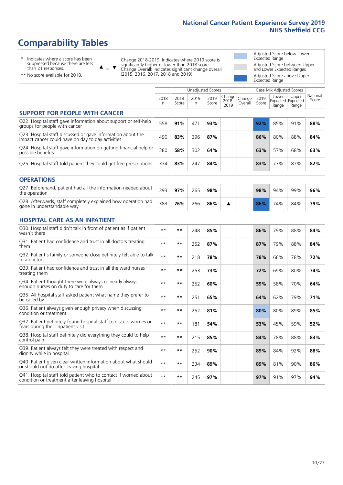# **Comparability Tables**

\* Indicates where a score has been suppressed because there are less than 21 responses.

\*\* No score available for 2018.

 $\triangle$  or  $\nabla$ 

Change 2018-2019: Indicates where 2019 score is significantly higher or lower than 2018 score Change Overall: Indicates significant change overall (2015, 2016, 2017, 2018 and 2019).

Adjusted Score below Lower Expected Range Adjusted Score between Upper and Lower Expected Ranges Adjusted Score above Upper Expected Range

|                                                                                                                   | <b>Unadjusted Scores</b> |               |                      |               |                            |                   |               | Case Mix Adjusted Scores |                                     |                   |
|-------------------------------------------------------------------------------------------------------------------|--------------------------|---------------|----------------------|---------------|----------------------------|-------------------|---------------|--------------------------|-------------------------------------|-------------------|
|                                                                                                                   | 2018<br>n                | 2018<br>Score | 2019<br>$\mathsf{n}$ | 2019<br>Score | Change<br>$2018 -$<br>2019 | Change<br>Overall | 2019<br>Score | Lower<br>Range           | Upper<br>Expected Expected<br>Range | National<br>Score |
| <b>SUPPORT FOR PEOPLE WITH CANCER</b>                                                                             |                          |               |                      |               |                            |                   |               |                          |                                     |                   |
| Q22. Hospital staff gave information about support or self-help<br>groups for people with cancer                  | 558                      | 91%           | 471                  | 93%           |                            |                   | 92%           | 85%                      | 91%                                 | 88%               |
| Q23. Hospital staff discussed or gave information about the<br>impact cancer could have on day to day activities  | 490                      | 83%           | 396                  | 87%           |                            |                   | 86%           | 80%                      | 88%                                 | 84%               |
| Q24. Hospital staff gave information on getting financial help or<br>possible benefits                            | 380                      | 58%           | 302                  | 64%           |                            |                   | 63%           | 57%                      | 68%                                 | 63%               |
| Q25. Hospital staff told patient they could get free prescriptions                                                | 334                      | 83%           | 247                  | 84%           |                            |                   | 83%           | 77%                      | 87%                                 | 82%               |
| <b>OPERATIONS</b>                                                                                                 |                          |               |                      |               |                            |                   |               |                          |                                     |                   |
| Q27. Beforehand, patient had all the information needed about<br>the operation                                    | 393                      | 97%           | 265                  | 98%           |                            |                   | 98%           | 94%                      | 99%                                 | 96%               |
| Q28. Afterwards, staff completely explained how operation had<br>gone in understandable way                       | 383                      | 76%           | 266                  | 86%           | ▲                          |                   | 86%           | 74%                      | 84%                                 | 79%               |
| <b>HOSPITAL CARE AS AN INPATIENT</b>                                                                              |                          |               |                      |               |                            |                   |               |                          |                                     |                   |
| Q30. Hospital staff didn't talk in front of patient as if patient<br>wasn't there                                 | $\star\star$             | $***$         | 248                  | 85%           |                            |                   | 86%           | 79%                      | 88%                                 | 84%               |
| Q31. Patient had confidence and trust in all doctors treating<br>them                                             | $**$                     | $***$         | 252                  | 87%           |                            |                   | 87%           | 79%                      | 88%                                 | 84%               |
| Q32. Patient's family or someone close definitely felt able to talk<br>to a doctor                                | $\star\star$             | $**$          | 218                  | 78%           |                            |                   | 78%           | 66%                      | 78%                                 | 72%               |
| O33. Patient had confidence and trust in all the ward nurses<br>treating them                                     | $**$                     | $***$         | 253                  | 73%           |                            |                   | 72%           | 69%                      | 80%                                 | 74%               |
| Q34. Patient thought there were always or nearly always<br>enough nurses on duty to care for them                 | $**$                     | $***$         | 252                  | 60%           |                            |                   | 59%           | 58%                      | 70%                                 | 64%               |
| Q35. All hospital staff asked patient what name they prefer to<br>be called by                                    | $**$                     | $***$         | 251                  | 65%           |                            |                   | 64%           | 62%                      | 79%                                 | 71%               |
| Q36. Patient always given enough privacy when discussing<br>condition or treatment                                | $* *$                    | $***$         | 252                  | 81%           |                            |                   | 80%           | 80%                      | 89%                                 | 85%               |
| Q37. Patient definitely found hospital staff to discuss worries or<br>fears during their inpatient visit          | $\star\star$             | $***$         | 181                  | 54%           |                            |                   | 53%           | 45%                      | 59%                                 | 52%               |
| Q38. Hospital staff definitely did everything they could to help<br>control pain                                  | $* *$                    | $***$         | 215                  | 85%           |                            |                   | 84%           | 78%                      | 88%                                 | 83%               |
| Q39. Patient always felt they were treated with respect and<br>dignity while in hospital                          | $* *$                    | $***$         | 252                  | 90%           |                            |                   | 89%           | 84%                      | 92%                                 | 88%               |
| Q40. Patient given clear written information about what should<br>or should not do after leaving hospital         | $\star\star$             | **            | 234                  | 89%           |                            |                   | 89%           | 81%                      | 90%                                 | 86%               |
| Q41. Hospital staff told patient who to contact if worried about<br>condition or treatment after leaving hospital | $* *$                    | $***$         | 245                  | 97%           |                            |                   | 97%           | 91%                      | 97%                                 | 94%               |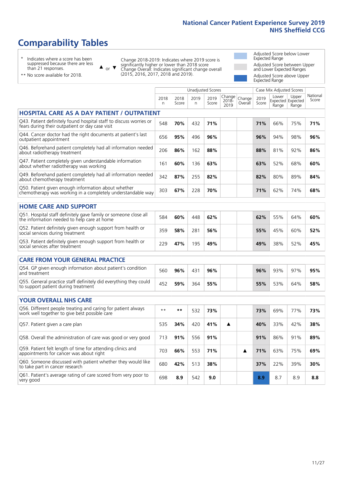Unadjusted Scores **Case Mix Adjusted Scores** 

# **Comparability Tables**

\* Indicates where a score has been suppressed because there are less than 21 responses.

 $\triangle$  or  $\nabla$ 

Change 2018-2019: Indicates where 2019 score is significantly higher or lower than 2018 score Change Overall: Indicates significant change overall (2015, 2016, 2017, 2018 and 2019).

 $\overline{\phantom{a}}$ 

Adjusted Score below Lower Expected Range Adjusted Score between Upper and Lower Expected Ranges Adjusted Score above Upper Expected Range

| ** No score available for 2018. |  |
|---------------------------------|--|

|                                                                                                                       | 2018<br>n | 2018<br>Score | 2019<br>n | 2019<br>Score | Change<br>$2018 -$<br>2019 | Change<br>Overall | 2019<br>Score | Lower<br>Range | Upper<br>Expected Expected<br>Range | National<br>Score |
|-----------------------------------------------------------------------------------------------------------------------|-----------|---------------|-----------|---------------|----------------------------|-------------------|---------------|----------------|-------------------------------------|-------------------|
| <b>HOSPITAL CARE AS A DAY PATIENT / OUTPATIENT</b>                                                                    |           |               |           |               |                            |                   |               |                |                                     |                   |
| Q43. Patient definitely found hospital staff to discuss worries or<br>fears during their outpatient or day case visit | 548       | 70%           | 432       | 71%           |                            |                   | 71%           | 66%            | 75%                                 | 71%               |
| Q44. Cancer doctor had the right documents at patient's last<br>outpatient appointment                                | 656       | 95%           | 496       | 96%           |                            |                   | 96%           | 94%            | 98%                                 | 96%               |
| Q46. Beforehand patient completely had all information needed<br>about radiotherapy treatment                         | 206       | 86%           | 162       | 88%           |                            |                   | 88%           | 81%            | 92%                                 | 86%               |
| Q47. Patient completely given understandable information<br>about whether radiotherapy was working                    | 161       | 60%           | 136       | 63%           |                            |                   | 63%           | 52%            | 68%                                 | 60%               |
| Q49. Beforehand patient completely had all information needed<br>about chemotherapy treatment                         | 342       | 87%           | 255       | 82%           |                            |                   | 82%           | 80%            | 89%                                 | 84%               |
| Q50. Patient given enough information about whether<br>chemotherapy was working in a completely understandable way    | 303       | 67%           | 228       | 70%           |                            |                   | 71%           | 62%            | 74%                                 | 68%               |
| <b>HOME CARE AND SUPPORT</b>                                                                                          |           |               |           |               |                            |                   |               |                |                                     |                   |
| Q51. Hospital staff definitely gave family or someone close all<br>the information needed to help care at home        | 584       | 60%           | 448       | 62%           |                            |                   | 62%           | 55%            | 64%                                 | 60%               |
| Q52. Patient definitely given enough support from health or<br>social services during treatment                       | 359       | 58%           | 281       | 56%           |                            |                   | 55%           | 45%            | 60%                                 | 52%               |
| Q53. Patient definitely given enough support from health or<br>social services after treatment                        | 229       | 47%           | 195       | 49%           |                            |                   | 49%           | 38%            | 52%                                 | 45%               |
| <b>CARE FROM YOUR GENERAL PRACTICE</b>                                                                                |           |               |           |               |                            |                   |               |                |                                     |                   |
| Q54. GP given enough information about patient's condition<br>and treatment                                           | 560       | 96%           | 431       | 96%           |                            |                   | 96%           | 93%            | 97%                                 | 95%               |
| Q55. General practice staff definitely did everything they could<br>to support patient during treatment               | 452       | 59%           | 364       | 55%           |                            |                   | 55%           | 53%            | 64%                                 | 58%               |
| <b>YOUR OVERALL NHS CARE</b>                                                                                          |           |               |           |               |                            |                   |               |                |                                     |                   |
| Q56. Different people treating and caring for patient always<br>work well together to give best possible care         | $***$     | **            | 532       | 73%           |                            |                   | 73%           | 69%            | 77%                                 | 73%               |
| Q57. Patient given a care plan                                                                                        | 535       | 34%           | 420       | 41%           | ▲                          |                   | 40%           | 33%            | 42%                                 | 38%               |
| Q58. Overall the administration of care was good or very good                                                         | 713       | 91%           | 556       | 91%           |                            |                   | 91%           | 86%            | 91%                                 | 89%               |
| Q59. Patient felt length of time for attending clinics and<br>appointments for cancer was about right                 | 703       | 66%           | 553       | 71%           |                            | ▲                 | 71%           | 63%            | 75%                                 | 69%               |
| Q60. Someone discussed with patient whether they would like<br>to take part in cancer research                        | 680       | 42%           | 513       | 38%           |                            |                   | 37%           | 22%            | 39%                                 | 30%               |
| Q61. Patient's average rating of care scored from very poor to<br>very good                                           | 698       | 8.9           | 542       | 9.0           |                            |                   | 8.9           | 8.7            | 8.9                                 | 8.8               |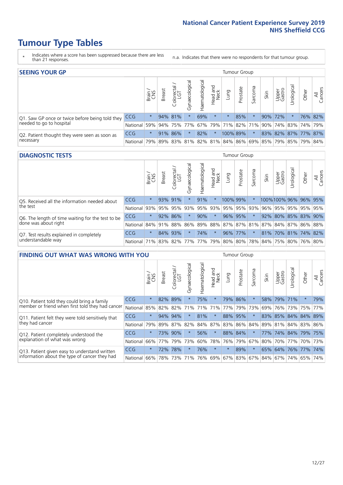- \* Indicates where a score has been suppressed because there are less than 21 responses.
- n.a. Indicates that there were no respondents for that tumour group.

| <b>SEEING YOUR GP</b>                                      |            |         |               |             |                    |                |                  |          | Tumour Group |         |      |                 |                                                           |       |                |
|------------------------------------------------------------|------------|---------|---------------|-------------|--------------------|----------------|------------------|----------|--------------|---------|------|-----------------|-----------------------------------------------------------|-------|----------------|
|                                                            |            | Brain   | <b>Breast</b> | Colorectal  | ᠊ᢛ<br>Gynaecologic | Haematological | Head and<br>Neck | Lung     | Prostate     | Sarcoma | Skin | Upper<br>Gastro | $\sigma$<br>Jrologica                                     | Other | All<br>Cancers |
| Q1. Saw GP once or twice before being told they            | <b>CCG</b> | $\star$ |               | 94% 81%     |                    | 69%            | $\star$          | $^\star$ | 85%          |         | 90%  | 172%            |                                                           |       | 76% 82%        |
| needed to go to hospital                                   | National   | 59%     |               | 94% 75% 77% |                    |                |                  |          |              |         |      |                 | 67%   79%   71%   82%   71%   90%   74%   83%   74%   79% |       |                |
| Q2. Patient thought they were seen as soon as<br>necessary | <b>CCG</b> | $\star$ |               | 91% 86%     |                    | 82%            | $\star$          | 100% 89% |              |         |      |                 | 83% 82% 87% 77% 87%                                       |       |                |
|                                                            | National   | 79%     |               | 89% 83%     |                    |                |                  |          |              |         |      |                 | 81% 82% 81% 84% 86% 69% 85% 79% 85% 79%                   |       | 84%            |

#### **DIAGNOSTIC TESTS** Tumour Group

|                                                                |                                                                  | Brain   | <b>Breast</b> | Colorectal<br>LGT | Gynaecological | ক<br>aematologic | Head and<br>Neck | Lung                  | Prostate | Sarcoma | Skin | Upper<br>Gastro                         | rological | Other   | All<br>Cancers |
|----------------------------------------------------------------|------------------------------------------------------------------|---------|---------------|-------------------|----------------|------------------|------------------|-----------------------|----------|---------|------|-----------------------------------------|-----------|---------|----------------|
| Q5. Received all the information needed about                  | <b>CCG</b>                                                       | $\star$ |               | 93% 91%           |                | 91%              | $\star$          | 100% 99%              |          |         |      | 100%100% 96% 96% 95%                    |           |         |                |
| the test                                                       | National                                                         | 93%     |               | 95% 95%           | 93%            | 95%              |                  | 93%   95%   95%   93% |          |         |      | 96% 95%                                 |           | 95% 95% | 95%            |
| Q6. The length of time waiting for the test to be              | <b>CCG</b>                                                       | $\star$ |               | 92% 86%           |                | 90%              | $\star$          | 96% 95%               |          | $\star$ | 92%  | 80% 85% 83% 90%                         |           |         |                |
| done was about right                                           | National 84% 91% 88% 86%                                         |         |               |                   |                |                  |                  |                       |          |         |      | 89% 88% 87% 87% 81% 87% 84% 87% 86% 88% |           |         |                |
| Q7. Test results explained in completely<br>understandable way | CCG                                                              | $\star$ |               | 84% 93%           |                | 74%              | $\star$          |                       | 96% 77%  | $\star$ |      | 81% 70% 81% 74% 82%                     |           |         |                |
|                                                                | National 71% 83% 82% 77% 77% 79% 80% 80% 78% 84% 75% 80% 76% 80% |         |               |                   |                |                  |                  |                       |          |         |      |                                         |           |         |                |

| <b>FINDING OUT WHAT WAS WRONG WITH YOU</b>        |            |         |               |                       |                |               |                  |         | Tumour Group |         |      |                 |            |                 |                |
|---------------------------------------------------|------------|---------|---------------|-----------------------|----------------|---------------|------------------|---------|--------------|---------|------|-----------------|------------|-----------------|----------------|
|                                                   |            | Brain   | <b>Breast</b> | olorectal<br>LGT<br>Ū | Gynaecological | Haematologica | Head and<br>Neck | Lung    | Prostate     | Sarcoma | Skin | Upper<br>Gastro | Irological | Other           | All<br>Cancers |
| Q10. Patient told they could bring a family       | CCG        | $\star$ | 82% 89%       |                       |                | 75%           | $\star$          |         | 79% 86%      | $\star$ | 58%  | 79%             | 71%        | $\ast$          | 79%            |
| member or friend when first told they had cancer  | National   | 85%     | 82%           | 82%                   | 71%            | 71%           | 71%              | 77%     | 79%          | 73%     | 69%  | 76%             | 73%        | 75%             | 77%            |
| Q11. Patient felt they were told sensitively that | CCG        | $\star$ | 94%           | 94%                   |                | 81%           | $\star$          | 88%     | 95%          | $\star$ | 83%  | 85%             | 84%        | 84%             | 89%            |
| they had cancer                                   | National   | 79%     | 89% 87% 82%   |                       |                |               | 84% 87%          | 83% 86% |              | 84%     |      |                 |            | 89% 81% 84% 83% | 86%            |
| Q12. Patient completely understood the            | <b>CCG</b> | $\star$ | 73%           | 90%                   |                | 56%           | $\star$          | 88% 84% |              | $\star$ | 77%  | 74%             |            | 84% 79% 75%     |                |
| explanation of what was wrong                     | National   | 66%     | 77%           | 79%                   | 73%            | 60%           | 78%              | 76%     | 79%          | 67%     | 80%  | 70%             | 77%        | 70%             | 73%            |
| Q13. Patient given easy to understand written     | CCG        | $\star$ | 72%           | 78%                   |                | 76%           | $\star$          | $\star$ | 89%          | $\star$ |      | 65% 64%         | 76%        | 77%             | 74%            |
| information about the type of cancer they had     | National   | 66%     | 78%           | 73%                   | 71%            | 76%           | 69%              | 67% 83% |              | 67%     |      | 84% 67%         | 74%        | 65%             | 74%            |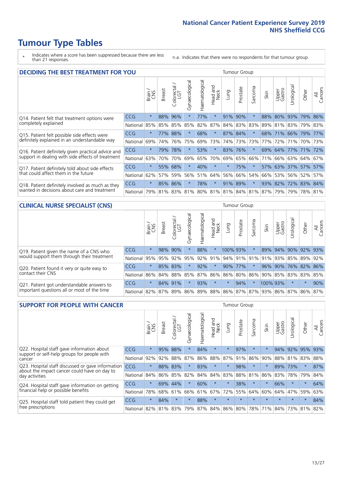- \* Indicates where a score has been suppressed because there are less than 21 responses.
- n.a. Indicates that there were no respondents for that tumour group.

| <b>DECIDING THE BEST TREATMENT FOR YOU</b>         |            |         |               |                             |                |                |                         |         | <b>Tumour Group</b> |                         |      |                 |             |             |                |
|----------------------------------------------------|------------|---------|---------------|-----------------------------|----------------|----------------|-------------------------|---------|---------------------|-------------------------|------|-----------------|-------------|-------------|----------------|
|                                                    |            | Brain   | <b>Breast</b> | olorectal.<br>LGT<br>$\cup$ | Gynaecological | Haematological | ead and<br>Neck<br>Head | Lung    | Prostate            | arcoma<br>$\sqrt{ }$    | Skin | Upper<br>Gastro | Jrological  | Other       | All<br>Cancers |
| Q14. Patient felt that treatment options were      | CCG        | $\star$ | 88%           | 96%                         | $\star$        | 77%            | $\star$                 | 91%     | 90%                 | $\star$                 | 88%  | 80%             | 93%         | 79%         | 86%            |
| completely explained                               | National   | 85%     | 85%           | 85%                         | 85%            | 82%            | 87%                     |         | 84% 83%             | 83%                     | 89%  | 81%             | 83% 79% 83% |             |                |
| Q15. Patient felt possible side effects were       | CCG        | $\star$ | 77%           | 88%                         | $\star$        | 68%            | $\star$                 |         | 87% 84%             | $\star$                 | 68%  | 71%             | 66%         | 79%         | 77%            |
| definitely explained in an understandable way      | National   | 69%     | 74%           | 76%                         | 75%            | 69%            | 73%                     |         | 74% 73%             | 73%                     | 77%  | 72%             | 71%         | 70% 73%     |                |
| Q16. Patient definitely given practical advice and | <b>CCG</b> | $\star$ | 79%           | 78%                         |                | 53%            | $\star$                 |         | 83% 76%             |                         | 69%  | 64%             | 77% 71%     |             | 72%            |
| support in dealing with side effects of treatment  | National   | 63%     | 70%           | 70%                         | 69%            | 65%            | 70%                     | 69%     | 65%                 | 66%                     | 71%  | 66%             |             | 63% 64%     | 67%            |
| Q17. Patient definitely told about side effects    | CCG        | $\star$ | 55%           | 68%                         | $\star$        | 40%            | $\star$                 | $\star$ | 75%                 | 大                       | 57%  | 63%             |             | 37% 57%     | 57%            |
| that could affect them in the future               | National   | 62%     | 57%           | 59%                         | 56%            | 51%            | 64%                     | 56%     | 66%                 | 54%                     | 66%  | 53%             |             | 56% 52%     | 57%            |
| Q18. Patient definitely involved as much as they   | CCG        | $\star$ |               | 85% 86%                     | $\star$        | 78%            | $\star$                 | 91%     | 89%                 | $\star$                 | 93%  | 82%             |             | 72% 83% 84% |                |
| wanted in decisions about care and treatment       | National   | 79%     |               |                             | 81% 83% 81%    |                |                         |         |                     | 80% 81% 81% 84% 81% 87% |      | 79%             |             | 79% 78% 81% |                |

#### **CLINICAL NURSE SPECIALIST (CNS)** Tumour Group

|                                             |                  | Brain<br>CNS | <b>Breast</b>   | olorectal<br>LGT<br>Ü | $\sigma$<br>aecologica<br>Ğ | ক<br>Haematologic | Head and<br>Neck | Lung     | Prostate | Sarcoma | Skin | Upper<br>Gastro                 | $\sigma$<br>rologica | Other       | All<br>Cancers |
|---------------------------------------------|------------------|--------------|-----------------|-----------------------|-----------------------------|-------------------|------------------|----------|----------|---------|------|---------------------------------|----------------------|-------------|----------------|
| Q19. Patient given the name of a CNS who    | <b>CCG</b>       | $\star$      |                 | 98% 90%               |                             | 88%               | $\star$          | 100% 93% |          |         |      | 89% 94%                         |                      | 90% 92% 93% |                |
| would support them through their treatment  | National         | 95%          | 95%             | 92%                   | 95%                         | 92%               |                  |          |          |         |      | 91% 94% 91% 91% 91% 92%         | 85%                  | 89%         | 92%            |
| Q20. Patient found it very or quite easy to | CCG              | $\star$      |                 | 85% 83%               |                             | 92%               | $\ast$           |          | 90% 77%  | $\ast$  | 96%  | 90%                             | 76% 82% 86%          |             |                |
| contact their CNS                           | National         |              | 86% 84% 88% 85% |                       |                             | 87%               | 86%              |          |          |         |      | 86% 80% 86% 90% 85% 83% 83%     |                      |             | 85%            |
| Q21. Patient got understandable answers to  | CCG              | $\star$      |                 | 84% 91%               |                             | 93%               | $\star$          | $\star$  | 94%      | $\star$ |      | 100% 93%                        | $\star$              | $\ast$      | 90%            |
| important questions all or most of the time | National 82% 87% |              |                 | $89\%$                | 86%                         |                   |                  |          |          |         |      | 89% 88% 86% 87% 87% 93% 86% 87% |                      | 86%         | 87%            |

| <b>SUPPORT FOR PEOPLE WITH CANCER</b>                                                             |            |         |               |            |                |                |                     |         | Tumour Group |                  |         |                 |           |        |                |
|---------------------------------------------------------------------------------------------------|------------|---------|---------------|------------|----------------|----------------|---------------------|---------|--------------|------------------|---------|-----------------|-----------|--------|----------------|
| Q22. Hospital staff gave information about<br><b>CCG</b>                                          |            |         | <b>Breast</b> | Colorectal | Gynaecological | Haematological | and<br>Neck<br>Head | Lung    | Prostate     | arcoma<br>$\sim$ | Skin    | Upper<br>Gastro | Jrologica | Other  | All<br>Cancers |
| support or self-help groups for people with                                                       |            | $\star$ | 95%           | 88%        | $\star$        | 84%            | $\star$             | $\star$ | 97%          | $\star$          | $\star$ | 94%             | 92%       | 95%    | 93%            |
| cancer                                                                                            | National   | 92%     | 92%           | 88%        | 87%            | 86%            | 88%                 | 87%     | 91%          | 86%              | 90%     | 88%             | 81%       | 83%    | 88%            |
| Q23. Hospital staff discussed or gave information<br>about the impact cancer could have on day to | CCG.       | $\star$ | 88%           | 83%        | $\star$        | 83%            | $\star$             | $\star$ | 98%          | $\star$          |         | 89%             | 73%       | $\ast$ | 87%            |
| day activities                                                                                    | National   | 84%     | 86%           | 85%        | 82%            | 84%            | 84%                 | 83%     | 88%          | 81%              | 86%     | 83%             | 78%       | 79%    | 84%            |
| Q24. Hospital staff gave information on getting                                                   | <b>CCG</b> | $\star$ | 69%           | 44%        | $\star$        | 60%            | $\star$             | $\star$ | 38%          | $\star$          | $\star$ | 66%             | $\star$   | $\ast$ | 64%            |
| financial help or possible benefits                                                               | National   | 78%     | 68%           | 61%        | 66%            | 61%            | 67%                 | 72%     | 55%          | 64%              | 60%     | 64%             | 47%       | 59%    | 63%            |
| Q25. Hospital staff told patient they could get                                                   | <b>CCG</b> | $\star$ | 84%           | $\star$    | $\star$        | 88%            | $\star$             | $\star$ | $\star$      |                  |         | $\star$         | $\star$   | $\ast$ | 84%            |
| free prescriptions                                                                                | National   | 82%     | 81%           | 83%        | 79%            | 87%            | 84%                 | 86%     | 80%          | 78%              | 71%     | 84%             | 73%       | 81%    | 82%            |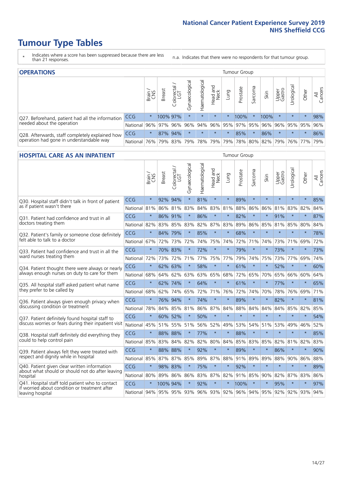- \* Indicates where a score has been suppressed because there are less than 21 responses.
- n.a. Indicates that there were no respondents for that tumour group.

| <b>OPERATIONS</b>                                                                           |            |          |               |                        |                    |                |                        |         | Tumour Group |         |                             |                 |                 |           |                |  |  |
|---------------------------------------------------------------------------------------------|------------|----------|---------------|------------------------|--------------------|----------------|------------------------|---------|--------------|---------|-----------------------------|-----------------|-----------------|-----------|----------------|--|--|
|                                                                                             |            | Brain    | <b>Breast</b> | iolorectal<br>LGT<br>Ü | ᠊ᢛ<br>Gynaecologic | Haematological | ad and<br>Neck<br>Head | Lung    | Prostate     | Sarcoma | Skin                        | Upper<br>Gastro | Jrological      | Other     | All<br>Cancers |  |  |
| Q27. Beforehand, patient had all the information<br>needed about the operation              | CCG        | $\star$  | 100% 97%      |                        | $\star$            | $\star$        | $\star$                | $\star$ | 100%         |         | 100%                        | $\star$         | $\star$         | $\star$   | 98%            |  |  |
|                                                                                             | National   | 96%      |               | 97% 96%                |                    |                |                        |         |              |         | 96% 94% 96% 95% 97% 95% 96% |                 | 96% 95% 95% 96% |           |                |  |  |
| Q28. Afterwards, staff completely explained how<br>operation had gone in understandable way | <b>CCG</b> | $\star$  |               | 87% 94%                | $\star$            | $\star$        | $\star$                | $\star$ | 85%          |         | 86%                         | $\star$         | $\star$         | $\star$   | 86%            |  |  |
|                                                                                             | National   | $ 76\% $ |               | 79% 83%                |                    |                | 79%   78%   79%        |         |              |         | 79% 78% 80% 82%             | 79%             |                 | 76%   77% | 79%            |  |  |

#### **HOSPITAL CARE AS AN INPATIENT** Tumour Group

|                                                                                                   |              | Brain   | Breast      | Colorectal /<br>LGT | Gynaecological | Haematological | Head and<br>Neck | Lung    | Prostate                        | Sarcoma | Skin    | Upper<br>Gastro | Urological | Other   | All<br>Cancers |
|---------------------------------------------------------------------------------------------------|--------------|---------|-------------|---------------------|----------------|----------------|------------------|---------|---------------------------------|---------|---------|-----------------|------------|---------|----------------|
| Q30. Hospital staff didn't talk in front of patient                                               | CCG          | $\star$ | 92%         | 94%                 | $\star$        | 81%            | $\star$          | $\star$ | 89%                             | $\star$ | $\star$ | $\star$         | $\star$    | $\star$ | 85%            |
| as if patient wasn't there                                                                        | National     | 81%     | 86%         | 81%                 | 83%            | 84%            |                  | 83% 81% | 88%                             | 86%     | 86%     | 81%             | 83%        | 82%     | 84%            |
| Q31. Patient had confidence and trust in all                                                      | CCG          | $\star$ | 86% 91%     |                     | $\star$        | 86%            | $\star$          | $\star$ | 82%                             | $\star$ | $\star$ | 91%             | $\star$    | $\star$ | 87%            |
| doctors treating them                                                                             | National     | 82%     |             | 83% 85%             | 83%            |                | 82% 87% 83%      |         | 89%                             | 86%     | 85%     | 81%             | 85%        | 80%     | 84%            |
| Q32. Patient's family or someone close definitely                                                 | CCG          | $\star$ | 84%         | 79%                 |                | 85%            | $\star$          | $\star$ | 68%                             | $\star$ | $\star$ | $\star$         | $\star$    | $\star$ | 78%            |
| felt able to talk to a doctor                                                                     | National     | 67%     | 72%         | 73%                 | 72%            | 74%            | 75%              | 74%     | 72%                             | 71%     | 74%     | 73%             | 71%        | 69%     | 72%            |
| Q33. Patient had confidence and trust in all the                                                  | CCG          | $\star$ |             | 70% 83%             | $\star$        | 72%            | $\star$          | $\star$ | 79%                             | $\star$ | $\ast$  | 73%             | $\star$    | $\star$ | 73%            |
| ward nurses treating them                                                                         | National     | 72%     | 73%         | 72%                 | 71%            | 77%            | 75%              | 77%     | 79%                             | 74%     | 75%     | 73%             | 77%        | 69%     | 74%            |
| Q34. Patient thought there were always or nearly<br>always enough nurses on duty to care for them | CCG          | $\star$ | 62%         | 63%                 | $\star$        | 58%            | $\star$          | $\star$ | 61%                             | $\star$ | $\star$ | 52%             | $\star$    | $\star$ | 60%            |
|                                                                                                   | National     | 68%     | 64%         | 62%                 | 63%            | 63%            | 65%              | 68%     | 72%                             | 65%     | 70%     | 65%             | 66%        | 60%     | 64%            |
| Q35. All hospital staff asked patient what name                                                   | CCG          | $\star$ |             | 62% 74%             | $\star$        | 64%            | $\star$          | $\star$ | 61%                             | $\star$ | $\star$ | 77%             | $\star$    | $\star$ | 65%            |
| they prefer to be called by                                                                       | National     | 68%     | 62%         | 74%                 | 65%            | 72%            | 71% 76%          |         | 72%                             | 74%     | 70%     | 78%             | 76%        | 69%     | 71%            |
| Q36. Patient always given enough privacy when                                                     | CCG          | $\star$ | 76%         | 94%                 | $\star$        | 74%            | $\star$          | $\star$ | 89%                             | $\star$ | $\star$ | 82%             | $\star$    | $\star$ | 81%            |
| discussing condition or treatment                                                                 | National     | 78%     |             | 84% 85%             | 81%            |                | 86% 87% 84%      |         | 88%                             | 84%     | 84%     | 84%             | 85%        | 82%     | 85%            |
| Q37. Patient definitely found hospital staff to                                                   | <b>CCG</b>   | $\star$ | 60%         | 52%                 | $\star$        | 50%            | $\star$          | $\star$ | $\star$                         | $\star$ | $\star$ | $\star$         | $\star$    | $\star$ | 54%            |
| discuss worries or fears during their inpatient visit                                             | National     | 45%     |             | 51% 55%             | 51%            | 56%            | 52%              | 49%     | 53%                             | 54%     | 51%     | 53%             | 49%        | 46%     | 52%            |
| Q38. Hospital staff definitely did everything they                                                | CCG          | $\star$ | 88% 88%     |                     | $\star$        | 77%            | $\star$          | $\star$ | 88%                             | $\star$ | $\star$ | $\star$         | $\star$    | $\star$ | 85%            |
| could to help control pain                                                                        | National     | 85%     | 83%         | 84%                 | 82%            | 82%            |                  | 80% 84% | 85%                             | 83%     | 85%     | 82%             | 81%        | 82%     | 83%            |
| Q39. Patient always felt they were treated with                                                   | CCG          | $\star$ | 88% 88%     |                     | $\star$        | 92%            | $\star$          | $\star$ | 89%                             | $\star$ | $\star$ | 86%             | $\star$    | $\star$ | 90%            |
| respect and dignity while in hospital                                                             | National     | 85%     | 87%         | 87%                 | 85%            | 89%            |                  | 87% 88% | 91%                             | 89%     | 89%     | 88%             | 90%        | 86%     | 88%            |
| Q40. Patient given clear written information<br>about what should or should not do after leaving  | CCG          | $\star$ | 98% 83%     |                     | $\star$        | 75%            | $\star$          | $\star$ | 92%                             | $\star$ | $\star$ | $\star$         | $\star$    | $\star$ | 89%            |
| hospital                                                                                          | National 80% |         | 89%         | 86%                 | 86%            | 83%            |                  | 87% 82% | 91%                             | 85%     | 90%     | 82%             | 87%        | 83%     | 86%            |
| Q41. Hospital staff told patient who to contact<br>if worried about condition or treatment after  | CCG          | $\star$ | 100% 94%    |                     | $\star$        | 92%            | $\star$          | $\star$ | 100%                            | $\star$ | $\star$ | 95%             | $\star$    | $\star$ | 97%            |
| leaving hospital                                                                                  | National 94% |         | 95% 95% 93% |                     |                |                |                  |         | 96% 93% 92% 96% 94% 95% 92% 92% |         |         |                 |            | 93% 94% |                |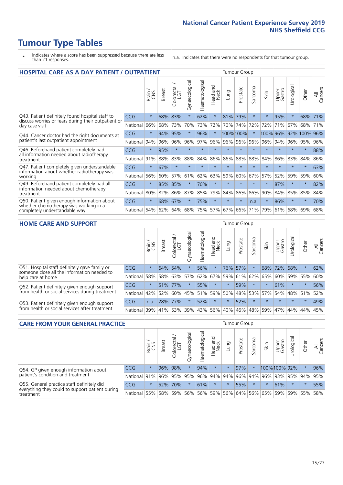- \* Indicates where a score has been suppressed because there are less than 21 responses.
- n.a. Indicates that there were no respondents for that tumour group.

| HOSPITAL CARE AS A DAY PATIENT / OUTPATIENT                                                                           | <b>Tumour Group</b> |              |               |                 |                |                |                         |         |          |                  |          |                 |            |              |                |
|-----------------------------------------------------------------------------------------------------------------------|---------------------|--------------|---------------|-----------------|----------------|----------------|-------------------------|---------|----------|------------------|----------|-----------------|------------|--------------|----------------|
|                                                                                                                       |                     | Brain<br>CNS | <b>Breast</b> | ╮<br>Colorectal | Gynaecological | Haematological | ead and<br>Neck<br>Head | Lung    | Prostate | arcoma<br>$\sim$ | Skin     | Upper<br>Gastro | Urological | Other        | All<br>Cancers |
| Q43. Patient definitely found hospital staff to                                                                       | CCG                 | $\star$      | 68%           | 83%             | $\star$        | 62%            | $\star$                 | 81%     | 79%      | $\star$          | $\star$  | 95%             | $\star$    | 68%          | 71%            |
| discuss worries or fears during their outpatient or<br>day case visit                                                 | National            | 66%          | 68%           | 73%             | 70%            | 73%            | 72%                     | 70%     | 74%      | 72%              | 72%      | 71%             | 67%        | 68%          | 71%            |
| Q44. Cancer doctor had the right documents at<br>patient's last outpatient appointment                                | CCG                 | $\star$      | 94%           | 95%             | $\star$        | 96%            | $\star$                 |         | 100%100% | 大                | 100% 96% |                 |            | 92% 100% 96% |                |
|                                                                                                                       | National            | 94%          | 96%           | 96%             | 96%            | 97%            | 96%                     | 96%     | 96%      | 96%              | 96%      | 94%             | 96%        | 95%          | 96%            |
| Q46. Beforehand patient completely had                                                                                | <b>CCG</b>          | $\star$      | 95%           | $\star$         | $\star$        | $\star$        | $\star$                 | $\star$ | $\star$  | $\star$          |          | $\star$         | $\star$    | $\star$      | 88%            |
| all information needed about radiotherapy<br>treatment                                                                | National            | 91%          | 88%           | 83%             | 88%            | 84%            | 86%                     | 86%     | 88%      | 88%              | 84%      | 86%             | 83%        | 84%          | 86%            |
| Q47. Patient completely given understandable                                                                          | CCG                 | $\star$      | 67%           |                 |                |                | $\star$                 | $\star$ | $\star$  |                  |          |                 |            | $\ast$       | 63%            |
| information about whether radiotherapy was<br>working                                                                 | National            | 56%          | 60%           | 57%             | 61%            | 62%            | 63%                     | 59%     | 60%      | 67%              | 57%      | 52%             | 59%        | 59%          | 60%            |
| Q49. Beforehand patient completely had all                                                                            | CCG                 | $\star$      | 85%           | 85%             | $\star$        | 70%            | $\star$                 | $\star$ | $\star$  | $\star$          |          | 87%             | $\star$    | $\star$      | 82%            |
| information needed about chemotherapy<br>treatment                                                                    | National            | 80%          | 82%           | 86%             | 87%            | 85%            | 79%                     | 84%     | 86%      | 86%              | 90%      | 84%             | 85%        | 85%          | 84%            |
| Q50. Patient given enough information about<br>whether chemotherapy was working in a<br>completely understandable way | CCG                 | $\star$      | 68%           | 67%             | $\star$        | 75%            | $\star$                 | $\star$ | $\star$  | n.a.             | $\star$  | 86%             | $\star$    | $\star$      | 70%            |
|                                                                                                                       | National            | 54%          | 62%           | 64%             | 68%            | 75%            | 57%                     | 67%     | 66%      | 71%              | 79%      | 61%             | 68%        | 69%          | 68%            |

#### **HOME CARE AND SUPPORT** Tumour Group

|                                                                                                                   |            | Brain   | <b>Breast</b> | Colorectal<br>LGT | $\sigma$<br>Gynaecologic | Haematological | Head and<br>Neck | <b>Lung</b> | Prostate | Sarcoma | Skin            | Upper<br>Gastro | Urological  | Other   | All<br>Cancers |
|-------------------------------------------------------------------------------------------------------------------|------------|---------|---------------|-------------------|--------------------------|----------------|------------------|-------------|----------|---------|-----------------|-----------------|-------------|---------|----------------|
| Q51. Hospital staff definitely gave family or<br>someone close all the information needed to<br>help care at home | <b>CCG</b> | $\star$ | 64%           | 54%               | $\star$                  | 56%            | $\ast$           | 76%         | 57%      |         | 68%             | 72%             | 68%         | $\star$ | 62%            |
|                                                                                                                   | National   | 58%     |               | 58% 63%           | 57%                      | 62%            | 67%              | 59%         | 61%      |         | 62% 65%         | 60%             | 59%         | 55%     | 60%            |
| Q52. Patient definitely given enough support<br>from health or social services during treatment                   | <b>CCG</b> | $\star$ | 51% 77%       |                   | $\star$                  | 55%            | $\star$          | $\star$     | 59%      | $\star$ | $\star$         | 61%             | $\star$     | $\star$ | 56%            |
|                                                                                                                   | National   | 42%     | 52%           | 60%               |                          |                | 45% 51% 59%      | 50%         |          |         | 48%   53%   57% |                 | 54% 48% 51% |         | 52%            |
| Q53. Patient definitely given enough support<br>from health or social services after treatment                    | <b>CCG</b> | n.a.    | 28%           | 177%              | $\star$                  | 52%            | $\star$          | $\star$     | 52%      | $\star$ | $\star$         | $\star$         | $\star$     | $\star$ | 49%            |
|                                                                                                                   | National   | 39%     | 41% 53%       |                   | 39%                      | $ 43\% $       | 56%              | 40%         | 46%      |         | 48% 59%         | 47%             | 44%         | 44%     | 45%            |

| <b>CARE FROM YOUR GENERAL PRACTICE</b>                                      |              |              |               |                        |               |                    |                  | <b>Tumour Group</b> |          |         |                             |                 |               |         |                |  |
|-----------------------------------------------------------------------------|--------------|--------------|---------------|------------------------|---------------|--------------------|------------------|---------------------|----------|---------|-----------------------------|-----------------|---------------|---------|----------------|--|
|                                                                             |              | Brain<br>CNS | <b>Breast</b> | ー<br>Colorectal<br>LGT | Gynaecologica | ᠊ᢛ<br>Haematologic | Head and<br>Neck | Lung                | Prostate | Sarcoma | Skin                        | Upper<br>Gastro | σ<br>Urologic | Other   | All<br>Cancers |  |
| Q54. GP given enough information about<br>patient's condition and treatment | <b>CCG</b>   | $\star$      |               | 96% 98%                |               | 94%                | $\star$          | $\star$             | 97%      | $\star$ |                             | 100%100%92%     |               | $\star$ | 96%            |  |
|                                                                             | National 91% |              |               | 96% 95%                | 95%           |                    | 96% 94% 94%      |                     |          |         | 96% 94% 96% 93% 95% 94%     |                 |               |         | 95%            |  |
| Q55. General practice staff definitely did                                  | <b>CCG</b>   | $\star$      | 52%           | 70%                    |               | 61%                | $\star$          | $\star$             | 55%      | $\star$ |                             | 61%             | $\star$       | $\star$ | 55%            |  |
| everything they could to support patient during<br>treatment                | National 55% |              |               | 58% 59%                | 56%           |                    |                  |                     |          |         | 56% 59% 56% 64% 56% 65% 59% |                 |               | 59% 55% | 58%            |  |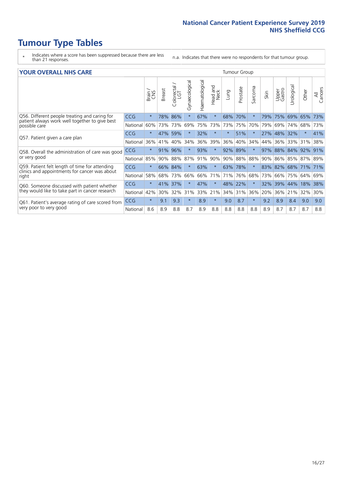- \* Indicates where a score has been suppressed because there are less than 21 responses.
- n.a. Indicates that there were no respondents for that tumour group.

#### **YOUR OVERALL NHS CARE** THE CONSTRUCTION OF THE THROUP GROUP TUMOUR GROUP

| I YON OVERALL NI IS CARL                                                                        |            |         |               |                             |                |                |                  | anour oroup |          |              |      |                 |                |         |                |
|-------------------------------------------------------------------------------------------------|------------|---------|---------------|-----------------------------|----------------|----------------|------------------|-------------|----------|--------------|------|-----------------|----------------|---------|----------------|
|                                                                                                 |            | Brain   | <b>Breast</b> | ╮<br>olorectal.<br>LGT<br>Û | Gynaecological | Haematological | Head and<br>Neck | Lung        | Prostate | arcoma<br>ιñ | Skin | Upper<br>Gastro | लु<br>Urologia | Other   | All<br>Cancers |
| Q56. Different people treating and caring for                                                   | <b>CCG</b> | $\star$ | 78%           | 86%                         |                | 67%            | $\star$          | 68%         | 70%      | $\star$      | 79%  | 75%             | 69%            | 65%     | 73%            |
| patient always work well together to give best<br>possible care                                 | National   | 60%     |               | 73% 73%                     | 69%            | 75%            | 73%              | 73%         | 75%      | 70%          | 79%  | 69%             | 74%            | 68%     | 73%            |
| Q57. Patient given a care plan                                                                  | <b>CCG</b> | $\star$ | 47%           | 59%                         |                | 32%            | $\star$          | $^\star$    | 51%      | $\star$      | 27%  | 48%             | 32%            | $\ast$  | 41%            |
|                                                                                                 | National   | 36%     | 41%           | 40%                         | 34%            | 36%            | 39%              | 36%         | 40%      | 34%          | 44%  | 36%             | 33%            | 31%     | 38%            |
| Q58. Overall the administration of care was good                                                | <b>CCG</b> | $\star$ | 91%           | 96%                         |                | 93%            | $\star$          | 92%         | 89%      | $\ast$       | 97%  | 88% 84%         |                | 92%     | 91%            |
| or very good                                                                                    | National   | 85%     | $90\%$        | 88%                         | 87%            | 91%            | 90%              |             | 90% 88%  | 88%          | 90%  | 86% 85%         |                | 87% 89% |                |
| Q59. Patient felt length of time for attending<br>clinics and appointments for cancer was about | <b>CCG</b> | $\star$ | 66% 84%       |                             | $\star$        | 63%            | $\star$          | 63% 78%     |          | $\star$      | 83%  | 82% 68%         |                | 171%    | 71%            |
| right                                                                                           | National   | 58%     | 68%           | 73%                         | 66%            | 66%            | 71%              | 71%         | 76%      | 68%          | 73%  | 66%             | 75%            | 64%     | 69%            |
| Q60. Someone discussed with patient whether                                                     | <b>CCG</b> | $\star$ | 41%           | 37%                         |                | 47%            | $\star$          | 48%         | 22%      | $\ast$       | 32%  | 39%             | 44%            | 18%     | 38%            |
| they would like to take part in cancer research                                                 | National   | 42%     | 30%           | 32%                         | 31%            | 33%            | 21%              | 34% 31%     |          | 36%          | 20%  | 36%             | 21%            | 32%     | 30%            |
| Q61. Patient's average rating of care scored from                                               | <b>CCG</b> | $\star$ | 9.1           | 9.3                         | $\star$        | 8.9            | $\star$          | 9.0         | 8.7      | $\star$      | 9.2  | 8.9             | 8.4            | 9.0     | 9.0            |
| very poor to very good                                                                          | National   | 8.6     | 8.9           | 8.8                         | 8.7            | 8.9            | 8.8              | 8.8         | 8.8      | 8.8          | 8.9  | 8.7             | 8.7            | 8.7     | 8.8            |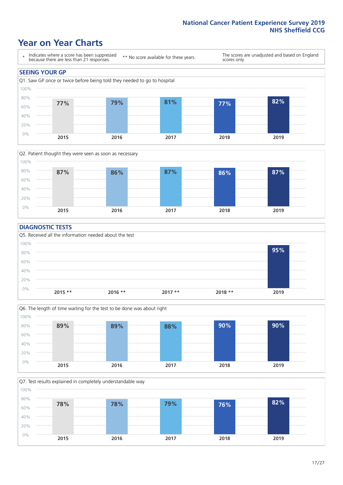### **Year on Year Charts**





#### **DIAGNOSTIC TESTS**





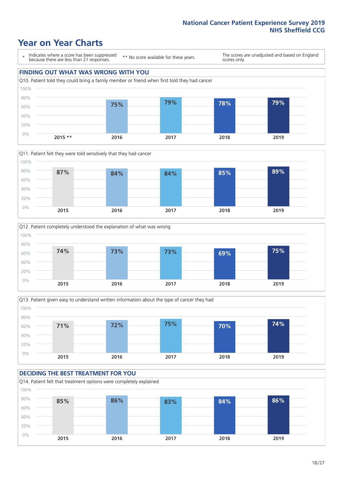## **Year on Year Charts**

\* Indicates where a score has been suppressed because there are less than 21 responses.

\*\* No score available for these years.

The scores are unadjusted and based on England scores only.

#### **FINDING OUT WHAT WAS WRONG WITH YOU**









#### **DECIDING THE BEST TREATMENT FOR YOU**

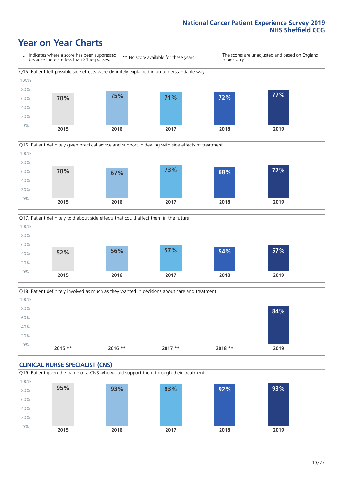## **Year on Year Charts**







Q18. Patient definitely involved as much as they wanted in decisions about care and treatment  $0%$ 20% 40% 60% 80% 100% **2015 \*\* 2016 \*\* 2017 \*\* 2018 \*\* 2019 84%**

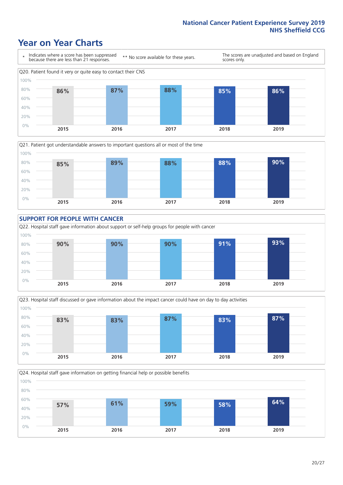### **Year on Year Charts**









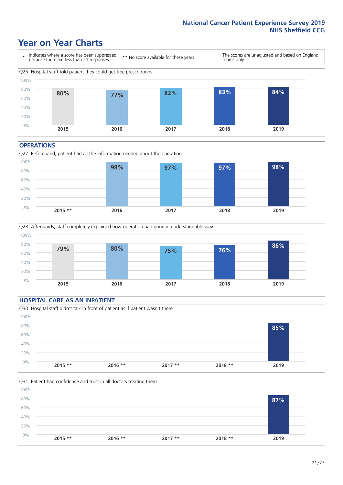### **Year on Year Charts**



#### **OPERATIONS**







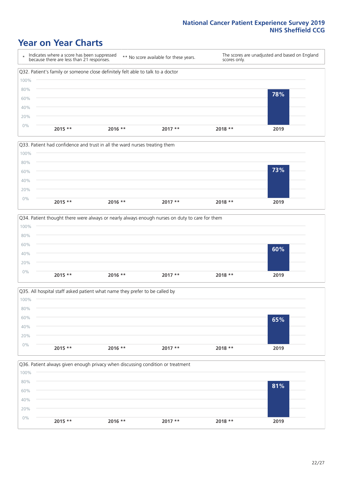### **Year on Year Charts**









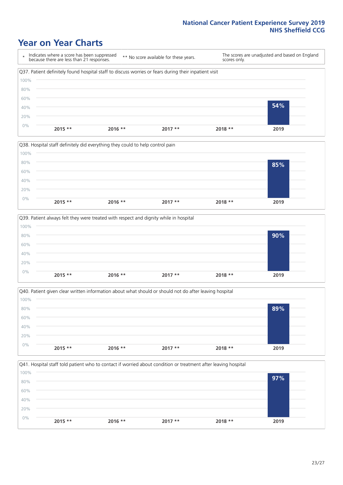### **Year on Year Charts**









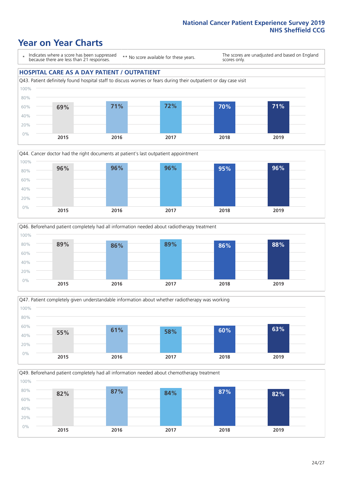### **Year on Year Charts**

\* Indicates where a score has been suppressed because there are less than 21 responses.

\*\* No score available for these years.

The scores are unadjusted and based on England scores only.

#### **HOSPITAL CARE AS A DAY PATIENT / OUTPATIENT**









Q49. Beforehand patient completely had all information needed about chemotherapy treatment 0% 20% 40% 60% 80% 100% **2015 2016 2017 2018 2019 82% 87% 84% 87% 82%**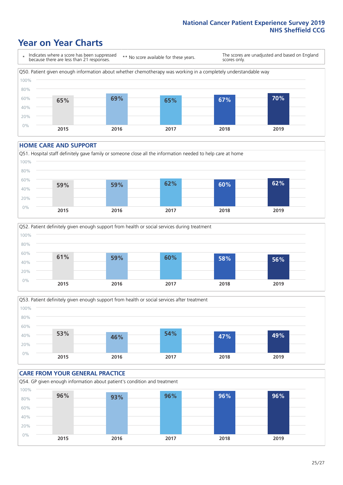## **Year on Year Charts**

\* Indicates where a score has been suppressed because there are less than 21 responses. \*\* No score available for these years. The scores are unadjusted and based on England scores only. Q50. Patient given enough information about whether chemotherapy was working in a completely understandable way 0% 20% 40% 60% 80% 100% **2015 2016 2017 2018 2019 65% 69% 65% 67% 70%**

#### **HOME CARE AND SUPPORT**







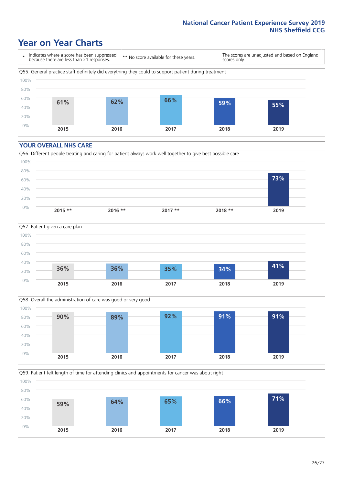### **Year on Year Charts**

\* Indicates where a score has been suppressed because there are less than 21 responses.

\*\* No score available for these years.

The scores are unadjusted and based on England scores only.



#### **YOUR OVERALL NHS CARE**







Q59. Patient felt length of time for attending clinics and appointments for cancer was about right